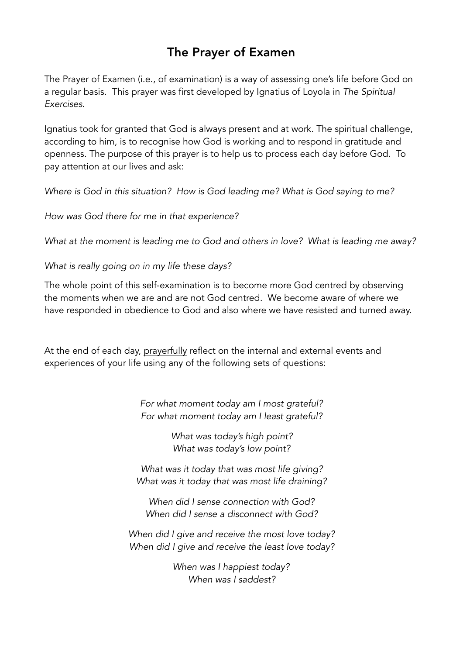# The Prayer of Examen

The Prayer of Examen (i.e., of examination) is a way of assessing one's life before God on a regular basis. This prayer was first developed by Ignatius of Loyola in *The Spiritual Exercises*.

Ignatius took for granted that God is always present and at work. The spiritual challenge, according to him, is to recognise how God is working and to respond in gratitude and openness. The purpose of this prayer is to help us to process each day before God. To pay attention at our lives and ask:

*Where is God in this situation? How is God leading me? What is God saying to me?* 

*How was God there for me in that experience?*

*What at the moment is leading me to God and others in love? What is leading me away?*

*What is really going on in my life these days?*

The whole point of this self-examination is to become more God centred by observing the moments when we are and are not God centred. We become aware of where we have responded in obedience to God and also where we have resisted and turned away.

At the end of each day, prayerfully reflect on the internal and external events and experiences of your life using any of the following sets of questions:

> *For what moment today am I most grateful? For what moment today am I least grateful?*

> > *What was today's high point? What was today's low point?*

*What was it today that was most life giving? What was it today that was most life draining?* 

*When did I sense connection with God? When did I sense a disconnect with God?* 

*When did I give and receive the most love today? When did I give and receive the least love today?* 

> *When was I happiest today? When was I saddest?*